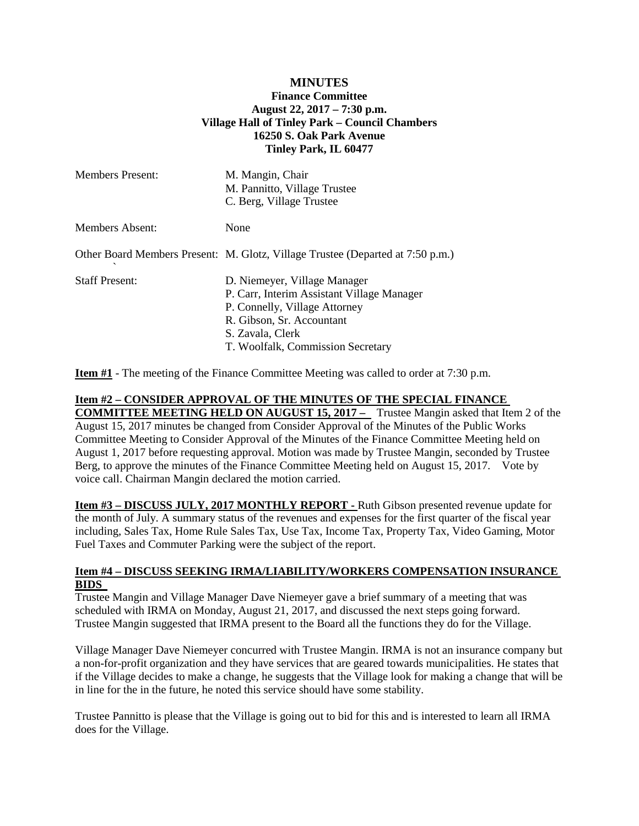## **MINUTES Finance Committee August 22, 2017 – 7:30 p.m. Village Hall of Tinley Park – Council Chambers 16250 S. Oak Park Avenue Tinley Park, IL 60477**

| <b>Members Present:</b> | M. Mangin, Chair<br>M. Pannitto, Village Trustee<br>C. Berg, Village Trustee                                                                                                                      |
|-------------------------|---------------------------------------------------------------------------------------------------------------------------------------------------------------------------------------------------|
| Members Absent:         | None                                                                                                                                                                                              |
|                         | Other Board Members Present: M. Glotz, Village Trustee (Departed at 7:50 p.m.)                                                                                                                    |
| <b>Staff Present:</b>   | D. Niemeyer, Village Manager<br>P. Carr, Interim Assistant Village Manager<br>P. Connelly, Village Attorney<br>R. Gibson, Sr. Accountant<br>S. Zavala, Clerk<br>T. Woolfalk, Commission Secretary |

**Item #1** - The meeting of the Finance Committee Meeting was called to order at 7:30 p.m.

#### **Item #2 – CONSIDER APPROVAL OF THE MINUTES OF THE SPECIAL FINANCE**

**COMMITTEE MEETING HELD ON AUGUST 15, 2017 –** Trustee Mangin asked that Item 2 of the August 15, 2017 minutes be changed from Consider Approval of the Minutes of the Public Works Committee Meeting to Consider Approval of the Minutes of the Finance Committee Meeting held on August 1, 2017 before requesting approval. Motion was made by Trustee Mangin, seconded by Trustee Berg, to approve the minutes of the Finance Committee Meeting held on August 15, 2017. Vote by voice call. Chairman Mangin declared the motion carried.

**Item #3 – DISCUSS JULY, 2017 MONTHLY REPORT -** Ruth Gibson presented revenue update for the month of July. A summary status of the revenues and expenses for the first quarter of the fiscal year including, Sales Tax, Home Rule Sales Tax, Use Tax, Income Tax, Property Tax, Video Gaming, Motor Fuel Taxes and Commuter Parking were the subject of the report.

#### **Item #4 – DISCUSS SEEKING IRMA/LIABILITY/WORKERS COMPENSATION INSURANCE BIDS**

Trustee Mangin and Village Manager Dave Niemeyer gave a brief summary of a meeting that was scheduled with IRMA on Monday, August 21, 2017, and discussed the next steps going forward. Trustee Mangin suggested that IRMA present to the Board all the functions they do for the Village.

Village Manager Dave Niemeyer concurred with Trustee Mangin. IRMA is not an insurance company but a non-for-profit organization and they have services that are geared towards municipalities. He states that if the Village decides to make a change, he suggests that the Village look for making a change that will be in line for the in the future, he noted this service should have some stability.

Trustee Pannitto is please that the Village is going out to bid for this and is interested to learn all IRMA does for the Village.